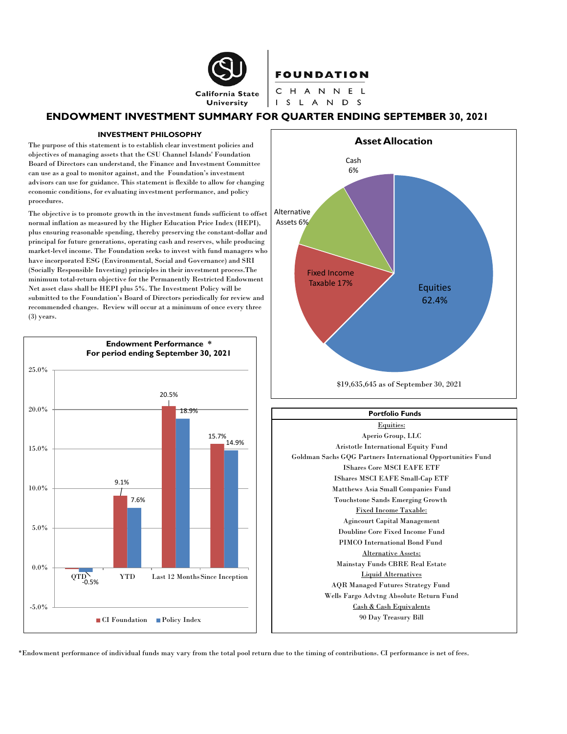

# **ENDOWMENT INVESTMENT SUMMARY FOR QUARTER ENDING SEPTEMBER 30, 2021**

#### **INVESTMENT PHILOSOPHY**

The purpose of this statement is to establish clear investment policies and objectives of managing assets that the CSU Channel Islands' Foundation Board of Directors can understand, the Finance and Investment Committee can use as a goal to monitor against, and the Foundation's investment advisors can use for guidance. This statement is flexible to allow for changing economic conditions, for evaluating investment performance, and policy procedures.

The objective is to promote growth in the investment funds sufficient to offset normal inflation as measured by the Higher Education Price Index (HEPI), plus ensuring reasonable spending, thereby preserving the constant-dollar and principal for future generations, operating cash and reserves, while producing market-level income. The Foundation seeks to invest with fund managers who have incorporated ESG (Environmental, Social and Governance) and SRI (Socially Responsible Investing) principles in their investment process.The minimum total-return objective for the Permanently Restricted Endowment Net asset class shall be HEPI plus 5%. The Investment Policy will be submitted to the Foundation's Board of Directors periodically for review and recommended changes. Review will occur at a minimum of once every three (3) years.





#### **Portfolio Funds**



\*Endowment performance of individual funds may vary from the total pool return due to the timing of contributions. CI performance is net of fees.